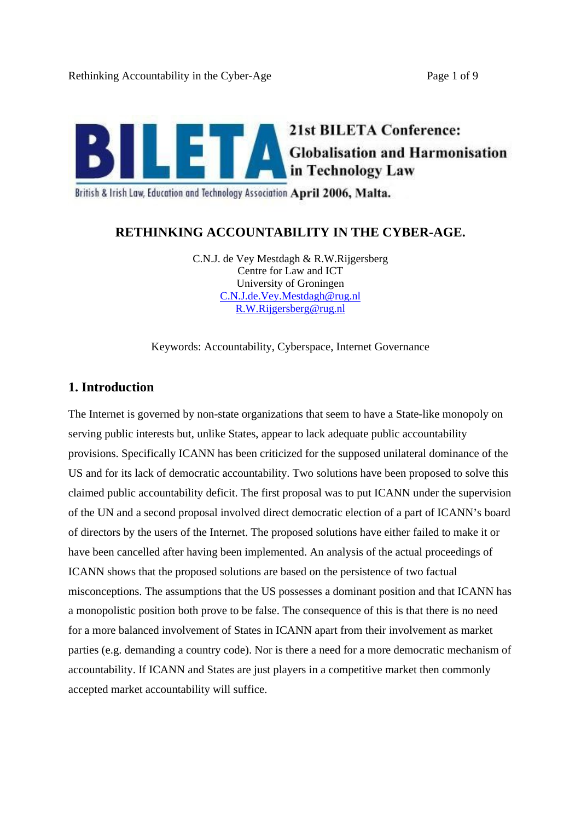

British & Irish Law, Education and Technology Association April 2006, Malta.

# **RETHINKING ACCOUNTABILITY IN THE CYBER-AGE.**

C.N.J. de Vey Mestdagh & R.W.Rijgersberg Centre for Law and ICT University of Groningen C.N.J.de.Vey.Mestdagh@rug.nl R.W.Rijgersberg@rug.nl

Keywords: Accountability, Cyberspace, Internet Governance

# **1. Introduction**

The Internet is governed by non-state organizations that seem to have a State-like monopoly on serving public interests but, unlike States, appear to lack adequate public accountability provisions. Specifically ICANN has been criticized for the supposed unilateral dominance of the US and for its lack of democratic accountability. Two solutions have been proposed to solve this claimed public accountability deficit. The first proposal was to put ICANN under the supervision of the UN and a second proposal involved direct democratic election of a part of ICANN s board of directors by the users of the Internet. The proposed solutions have either failed to make it or have been cancelled after having been implemented. An analysis of the actual proceedings of ICANN shows that the proposed solutions are based on the persistence of two factual misconceptions. The assumptions that the US possesses a dominant position and that ICANN has a monopolistic position both prove to be false. The consequence of this is that there is no need for a more balanced involvement of States in ICANN apart from their involvement as market parties (e.g. demanding a country code). Nor is there a need for a more democratic mechanism of accountability. If ICANN and States are just players in a competitive market then commonly accepted market accountability will suffice.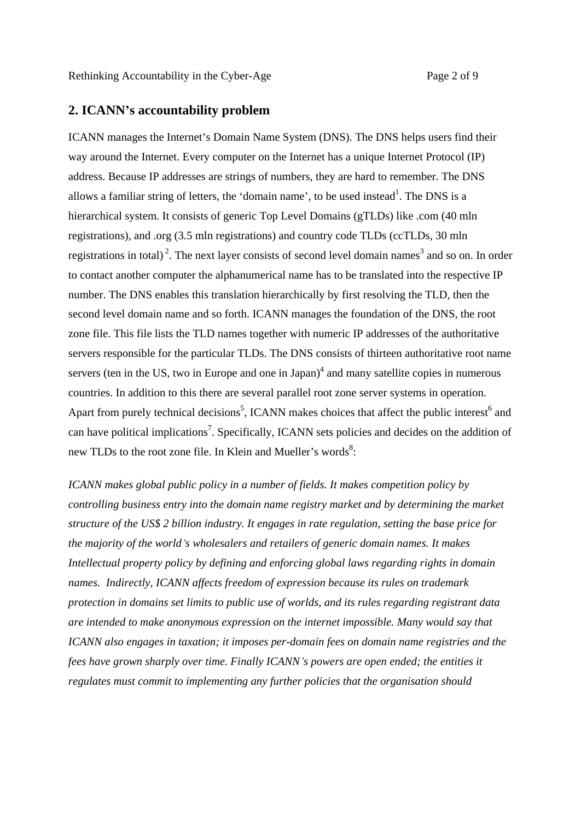# **2. ICANN s accountability problem**

ICANN manages the Internet's Domain Name System (DNS). The DNS helps users find their way around the Internet. Every computer on the Internet has a unique Internet Protocol (IP) address. Because IP addresses are strings of numbers, they are hard to remember. The DNS allows a familiar string of letters, the 'domain name', to be used instead<sup>1</sup>. The DNS is a <sup>1</sup> The DNS is a hierarchical system. It consists of generic Top Level Domains (gTLDs) like .com (40 mln registrations), and .org (3.5 mln registrations) and country code TLDs (ccTLDs, 30 mln registrations in total)<sup>2</sup>. The next layer consists of second level domain names<sup>3</sup> and so on. In order to contact another computer the alphanumerical name has to be translated into the respective IP number. The DNS enables this translation hierarchically by first resolving the TLD, then the second level domain name and so forth. ICANN manages the foundation of the DNS, the root zone file. This file lists the TLD names together with numeric IP addresses of the authoritative servers responsible for the particular TLDs. The DNS consists of thirteen authoritative root name servers (ten in the US, two in Europe and one in Japan) $4$  and many satellite copies in numerous countries. In addition to this there are several parallel root zone server systems in operation. Apart from purely technical decisions<sup>5</sup>, ICANN makes choices that affect the public interest<sup>6</sup> and and can have political implications<sup>7</sup>. Specifically, ICANN sets policies and decides on the addition of new TLDs to the root zone file. In Klein and Mueller's words $8$ : : And the second control of the second control of the second control of the second control of the second control of the second control of the second control of the second control of the second control of the second control

*ICANN makes global public policy in a number of fields. It makes competition policy by controlling business entry into the domain name registry market and by determining the market structure of the US\$ 2 billion industry. It engages in rate regulation, setting the base price for the majority of the world s wholesalers and retailers of generic domain names. It makes Intellectual property policy by defining and enforcing global laws regarding rights in domain names. Indirectly, ICANN affects freedom of expression because its rules on trademark protection in domains set limits to public use of worlds, and its rules regarding registrant data are intended to make anonymous expression on the internet impossible. Many would say that ICANN also engages in taxation; it imposes per-domain fees on domain name registries and the fees have grown sharply over time. Finally ICANN s powers are open ended; the entities it regulates must commit to implementing any further policies that the organisation should*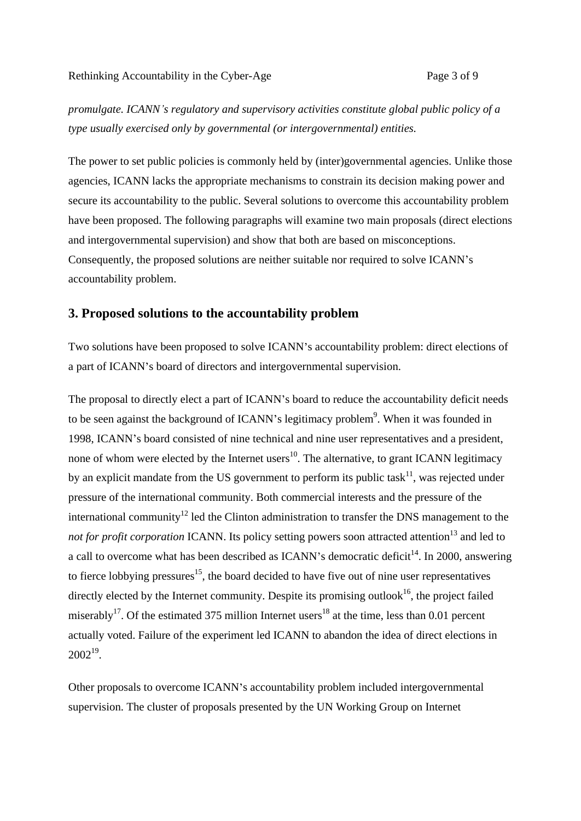*promulgate. ICANN s regulatory and supervisory activities constitute global public policy of a type usually exercised only by governmental (or intergovernmental) entities.* 

The power to set public policies is commonly held by (inter)governmental agencies. Unlike those agencies, ICANN lacks the appropriate mechanisms to constrain its decision making power and secure its accountability to the public. Several solutions to overcome this accountability problem have been proposed. The following paragraphs will examine two main proposals (direct elections and intergovernmental supervision) and show that both are based on misconceptions. Consequently, the proposed solutions are neither suitable nor required to solve ICANN's accountability problem.

# **3. Proposed solutions to the accountability problem**

Two solutions have been proposed to solve ICANN's accountability problem: direct elections of a part of ICANN's board of directors and intergovernmental supervision.

The proposal to directly elect a part of ICANN's board to reduce the accountability deficit needs to be seen against the background of ICANN's legitimacy problem<sup>9</sup>. When it was founded in 1998, ICANN's board consisted of nine technical and nine user representatives and a president, none of whom were elected by the Internet users<sup>10</sup>. The alternative, to grant ICANN legitimacy by an explicit mandate from the US government to perform its public task<sup>11</sup>, was rejected under pressure of the international community. Both commercial interests and the pressure of the international community<sup>12</sup> led the Clinton administration to transfer the DNS management to the *not for profit corporation* ICANN. Its policy setting powers soon attracted attention<sup>13</sup> and led to a call to overcome what has been described as ICANN's democratic deficit<sup>14</sup>. In 2000, answering to fierce lobbying pressures<sup>15</sup>, the board decided to have five out of nine user representatives directly elected by the Internet community. Despite its promising outlook<sup>16</sup>, the project failed miserably<sup>17</sup>. Of the estimated 375 million Internet users<sup>18</sup> at the time, less than 0.01 percent actually voted. Failure of the experiment led ICANN to abandon the idea of direct elections in  $2002^{19}$ . .<br>1980 – Paris Maria Barat, politikansk politiker († 1980)

Other proposals to overcome ICANN's accountability problem included intergovernmental supervision. The cluster of proposals presented by the UN Working Group on Internet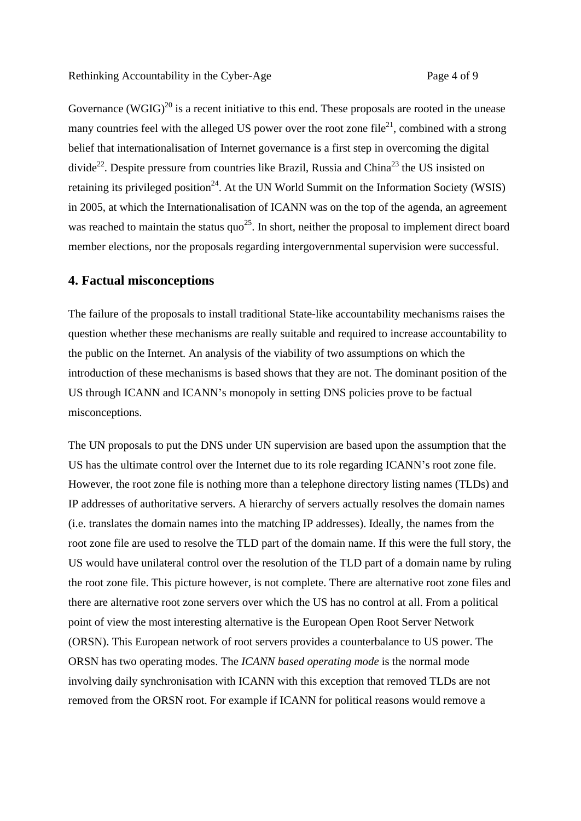Governance (WGIG)<sup>20</sup> is a recent initiative to this end. These proposals are rooted in the unease many countries feel with the alleged US power over the root zone file<sup>21</sup>, combined with a strong belief that internationalisation of Internet governance is a first step in overcoming the digital divide<sup>22</sup>. Despite pressure from countries like Brazil, Russia and China<sup>23</sup> the US insisted on retaining its privileged position<sup>24</sup>. At the UN World Summit on the Information Society (WSIS) in 2005, at which the Internationalisation of ICANN was on the top of the agenda, an agreement was reached to maintain the status quo<sup>25</sup>. In short, neither the proposal to implement direct board member elections, nor the proposals regarding intergovernmental supervision were successful.

## **4. Factual misconceptions**

The failure of the proposals to install traditional State-like accountability mechanisms raises the question whether these mechanisms are really suitable and required to increase accountability to the public on the Internet. An analysis of the viability of two assumptions on which the introduction of these mechanisms is based shows that they are not. The dominant position of the US through ICANN and ICANN's monopoly in setting DNS policies prove to be factual misconceptions.

The UN proposals to put the DNS under UN supervision are based upon the assumption that the US has the ultimate control over the Internet due to its role regarding ICANN's root zone file. However, the root zone file is nothing more than a telephone directory listing names (TLDs) and IP addresses of authoritative servers. A hierarchy of servers actually resolves the domain names (i.e. translates the domain names into the matching IP addresses). Ideally, the names from the root zone file are used to resolve the TLD part of the domain name. If this were the full story, the US would have unilateral control over the resolution of the TLD part of a domain name by ruling the root zone file. This picture however, is not complete. There are alternative root zone files and there are alternative root zone servers over which the US has no control at all. From a political point of view the most interesting alternative is the European Open Root Server Network (ORSN). This European network of root servers provides a counterbalance to US power. The ORSN has two operating modes. The *ICANN based operating mode* is the normal mode involving daily synchronisation with ICANN with this exception that removed TLDs are not removed from the ORSN root. For example if ICANN for political reasons would remove a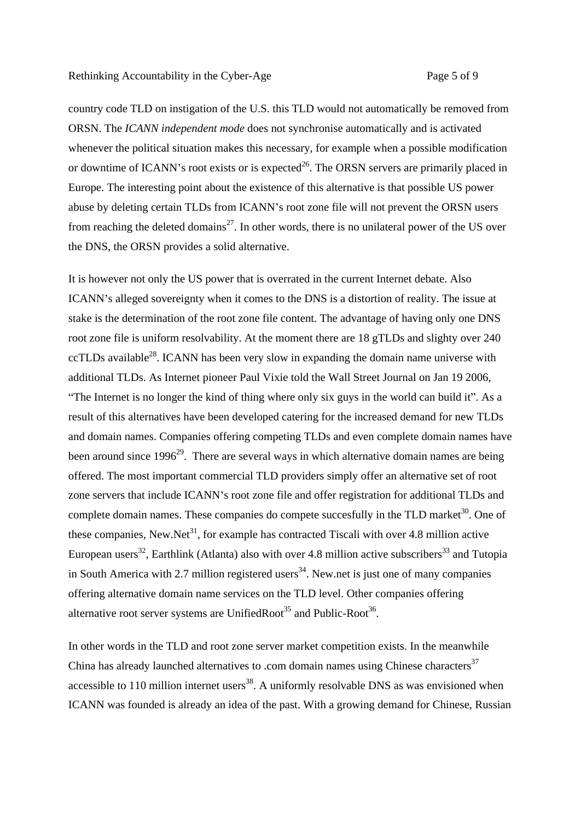country code TLD on instigation of the U.S. this TLD would not automatically be removed from ORSN. The *ICANN independent mode* does not synchronise automatically and is activated whenever the political situation makes this necessary, for example when a possible modification or downtime of ICANN's root exists or is expected<sup>26</sup>. The ORSN servers are primarily placed in Europe. The interesting point about the existence of this alternative is that possible US power abuse by deleting certain TLDs from ICANN's root zone file will not prevent the ORSN users from reaching the deleted domains<sup>27</sup>. In other words, there is no unilateral power of the US over the DNS, the ORSN provides a solid alternative.

It is however not only the US power that is overrated in the current Internet debate. Also ICANN's alleged sovereignty when it comes to the DNS is a distortion of reality. The issue at stake is the determination of the root zone file content. The advantage of having only one DNS root zone file is uniform resolvability. At the moment there are 18 gTLDs and slighty over 240 ccTLDs available28. ICANN has been very slow in expanding the domain name universe with additional TLDs. As Internet pioneer Paul Vixie told the Wall Street Journal on Jan 19 2006, "The Internet is no longer the kind of thing where only six guys in the world can build it". As a result of this alternatives have been developed catering for the increased demand for new TLDs and domain names. Companies offering competing TLDs and even complete domain names have been around since  $1996<sup>29</sup>$ . There are several ways in which alternative domain names are being offered. The most important commercial TLD providers simply offer an alternative set of root zone servers that include ICANN's root zone file and offer registration for additional TLDs and complete domain names. These companies do compete succesfully in the TLD market<sup>30</sup>. One of these companies, New.Net<sup>31</sup>, for example has contracted Tiscali with over 4.8 million active European users<sup>32</sup>, Earthlink (Atlanta) also with over 4.8 million active subscribers<sup>33</sup> and Tutopia in South America with 2.7 million registered users<sup>34</sup>. New net is just one of many companies offering alternative domain name services on the TLD level. Other companies offering alternative root server systems are UnifiedRoot<sup>35</sup> and Public-Root<sup>36</sup>.

. In other words in the TLD and root zone server market competition exists. In the meanwhile China has already launched alternatives to .com domain names using Chinese characters<sup>37</sup> accessible to  $110$  million internet users<sup>38</sup>. A uniformly resolvable DNS as was envisioned when ICANN was founded is already an idea of the past. With a growing demand for Chinese, Russian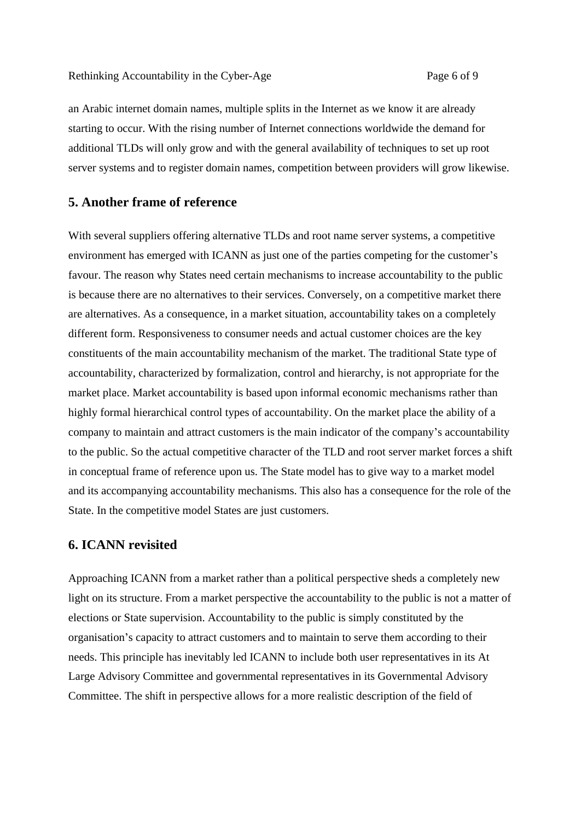an Arabic internet domain names, multiple splits in the Internet as we know it are already starting to occur. With the rising number of Internet connections worldwide the demand for additional TLDs will only grow and with the general availability of techniques to set up root server systems and to register domain names, competition between providers will grow likewise.

### **5. Another frame of reference**

With several suppliers offering alternative TLDs and root name server systems, a competitive environment has emerged with ICANN as just one of the parties competing for the customer's favour. The reason why States need certain mechanisms to increase accountability to the public is because there are no alternatives to their services. Conversely, on a competitive market there are alternatives. As a consequence, in a market situation, accountability takes on a completely different form. Responsiveness to consumer needs and actual customer choices are the key constituents of the main accountability mechanism of the market. The traditional State type of accountability, characterized by formalization, control and hierarchy, is not appropriate for the market place. Market accountability is based upon informal economic mechanisms rather than highly formal hierarchical control types of accountability. On the market place the ability of a company to maintain and attract customers is the main indicator of the company s accountability to the public. So the actual competitive character of the TLD and root server market forces a shift in conceptual frame of reference upon us. The State model has to give way to a market model and its accompanying accountability mechanisms. This also has a consequence for the role of the State. In the competitive model States are just customers.

# **6. ICANN revisited**

Approaching ICANN from a market rather than a political perspective sheds a completely new light on its structure. From a market perspective the accountability to the public is not a matter of elections or State supervision. Accountability to the public is simply constituted by the organisation's capacity to attract customers and to maintain to serve them according to their needs. This principle has inevitably led ICANN to include both user representatives in its At Large Advisory Committee and governmental representatives in its Governmental Advisory Committee. The shift in perspective allows for a more realistic description of the field of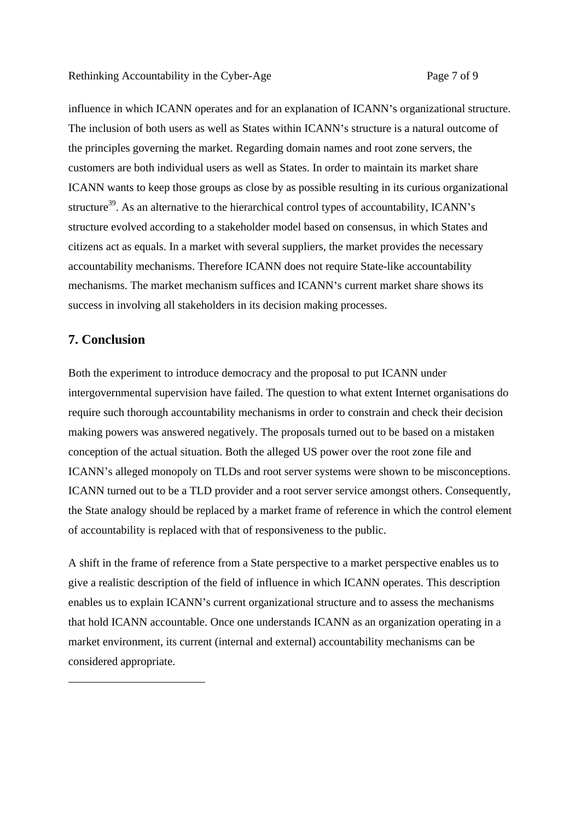influence in which ICANN operates and for an explanation of ICANN's organizational structure. The inclusion of both users as well as States within ICANN's structure is a natural outcome of the principles governing the market. Regarding domain names and root zone servers, the customers are both individual users as well as States. In order to maintain its market share ICANN wants to keep those groups as close by as possible resulting in its curious organizational structure<sup>39</sup>. As an alternative to the hierarchical control types of accountability, ICANN's structure evolved according to a stakeholder model based on consensus, in which States and citizens act as equals. In a market with several suppliers, the market provides the necessary accountability mechanisms. Therefore ICANN does not require State-like accountability mechanisms. The market mechanism suffices and ICANN's current market share shows its success in involving all stakeholders in its decision making processes.

# **7. Conclusion**

-

Both the experiment to introduce democracy and the proposal to put ICANN under intergovernmental supervision have failed. The question to what extent Internet organisations do require such thorough accountability mechanisms in order to constrain and check their decision making powers was answered negatively. The proposals turned out to be based on a mistaken conception of the actual situation. Both the alleged US power over the root zone file and ICANN's alleged monopoly on TLDs and root server systems were shown to be misconceptions. ICANN turned out to be a TLD provider and a root server service amongst others. Consequently, the State analogy should be replaced by a market frame of reference in which the control element of accountability is replaced with that of responsiveness to the public.

A shift in the frame of reference from a State perspective to a market perspective enables us to give a realistic description of the field of influence in which ICANN operates. This description enables us to explain ICANN's current organizational structure and to assess the mechanisms that hold ICANN accountable. Once one understands ICANN as an organization operating in a market environment, its current (internal and external) accountability mechanisms can be considered appropriate.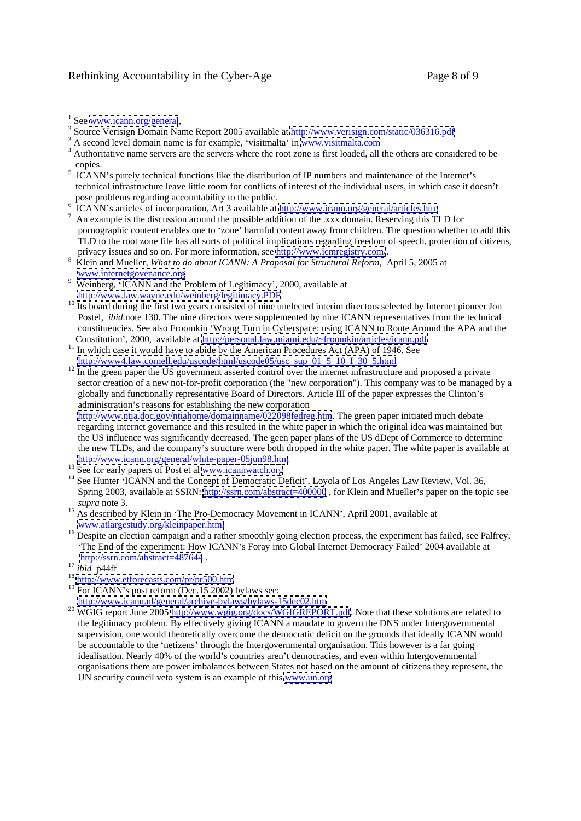### Rethinking Accountability in the Cyber-Age Page 8 of 9

- <sup>1</sup> See <u>www.icann.org/general</u>,<br><sup>2</sup> Source Verisian Domain Name Benert 2005 evailable at http://www.yerisian.com/statio/026216.pdf <sup>2</sup> Source Verisign Domain Name Report 2005 available at  $\frac{http://www.verisign.com/static/036316.pdf}{\text{34}}$
- $A^3$  A second level domain name is for example, 'visitmalta' in [www.visitmalta.com](http://www.visitmalta.com)
- <sup>4</sup> Authoritative name servers are the servers where the root zone is first loaded, all the others are considered to be
- copies.<br><sup>5</sup> ICANN's purely technical functions like the distribution of IP numbers and maintenance of the Internet's technical infrastructure leave little room for conflicts of interest of the individual users, in which case it doesn't
- pose problems regarding accountability to the public.<br><sup>6</sup> ICANN's articles of incorporation, Art 3 available at <u><http://www.icann.org/general/articles.htm></u>
- $<sup>7</sup>$  An example is the discussion around the possible addition of the .xxx domain. Reserving this TLD for</sup> pornographic content enables one to 'zone' harmful content away from children. The question whether to add this TLD to the root zone file has all sorts of political implications regarding freedom of speech, protection of citizens, privacy issues and so on. For more information, see<http://www.icmregistry.com/>.
- Klein and Mueller, *What to do about ICANN: A Proposal for Structural Reform*, April 5, 2005 at [www.internetgovenance.org](http://www.internetgovenance.org)
- Weinberg, 'ICANN and the Problem of Legitimacy', 2000, available at <http://www.law.wayne.edu/weinberg/legitimacy.PDF>
- <sup>10</sup> Its board during the first two years consisted of nine unelected interim directors selected by Internet pioneer Jon Postel, *ibid.note* 130. The nine directors were supplemented by nine ICANN representatives from the technical constituencies. See also Froomkin Wrong Turn in Cyberspace: using ICANN to Route Around the APA and the
- Constitution', 2000, available at <u><http://personal.law.miami.edu/~froomkin/articles/icann.pdf></u> <sup>11</sup> In which case it would have to abide by the American Procedures Act (APA) of 1946. See http://www4.law.cornell.edu/uscode
- $h^2$  In the green paper the US government asserted control over the internet infrastructure and proposed a private sector creation of a new not-for-profit corporation (the "new corporation"). This company was to be managed by a globally and functionally representative Board of Directors. Article III of the paper expresses the Clinton's administration's reasons for establishing the new corporation

<http://www.ntia.doc.gov/ntiahome/domainname/022098fedreg.htm>. The green paper initiated much debate regarding internet governance and this resulted in the white paper in which the original idea was maintained but the US influence was significantly decreased. The geen paper plans of the US dDept of Commerce to determine the new TLDs, and the company's structure were both dropped in the white paper. The white paper is available at <http://www.icann.org/general/white-paper-05jun98.htm>

- <sup>13</sup> See for early papers of Post et al <u>www.icannwatch.org</u>
- <sup>14</sup> See Hunter 'ICANN and the Concept of Democratic Deficit', Loyola of Los Angeles Law Review, Vol. 36, Spring 2003, available at SSRN:<http://ssrn.com/abstract=400000>, for Klein and Mueller's paper on the topic see
- *supra* note 3. <sup>15</sup> As described by Klein in The Pro-Democracy Movement in ICANN , April 2001, available at [www.atlargestudy.org/kleinpaper.html](http://www.atlargestudy.org/kleinpaper.html) 16 Despite an election campaign and a rather smoothly going election process, the experiment has failed, see Palfrey,
- The End of the experiment: How ICANN's Foray into Global Internet Democracy Failed' 2004 available at <http://ssrn.com/abstract=487644> .<br><sup>17</sup> ibid p44ff<br><sup>18</sup> <http://www.etforecasts.com/pr/pr500.htm>
- 
- 
- <sup>18</sup> http://www.etforecasts.com/pr/pr500.htm<br><sup>19</sup> For ICANN's post reform (Dec.15 2002) bylaws see:
- <http://www.icann.nl/general/archive-bylaws/bylaws-15dec02.htm>
- <sup>20</sup> WGIG report June 2005<http://www.wgig.org/docs/WGIGREPORT.pdf>. Note that these solutions are related to the legitimacy problem. By effectively giving ICANN a mandate to govern the DNS under Intergovernmental supervision, one would theoretically overcome the democratic deficit on the grounds that ideally ICANN would be accountable to the 'netizens' through the Intergovernmental organisation. This however is a far going idealisation. Nearly 40% of the world's countries aren't democracies, and even within Intergovernmental organisations there are power imbalances between States not based on the amount of citizens they represent, the UN security council veto system is an example of this [www.un.org](http://www.un.org)

 $1$  See www.icann.org/general,